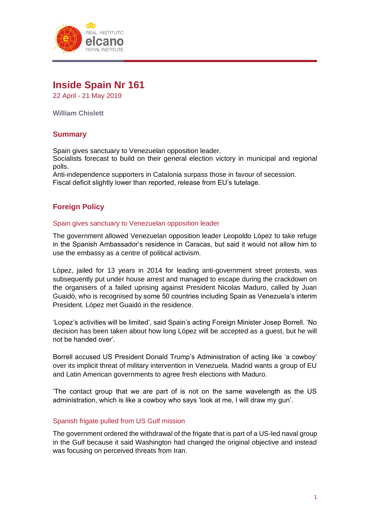

# **Inside Spain Nr 161**

22 April - 21 May 2019

**William Chislett**

# **Summary**

Spain gives sanctuary to Venezuelan opposition leader. Socialists forecast to build on their general election victory in municipal and regional polls.

Anti-independence supporters in Catalonia surpass those in favour of secession. Fiscal deficit slightly lower than reported, release from EU's tutelage.

# **Foreign Policy**

#### Spain gives sanctuary to Venezuelan opposition leader

The government allowed Venezuelan opposition leader Leopoldo López to take refuge in the Spanish Ambassador's residence in Caracas, but said it would not allow him to use the embassy as a centre of political activism.

López, jailed for 13 years in 2014 for leading anti-government street protests, was subsequently put under house arrest and managed to escape during the crackdown on the organisers of a failed uprising against President Nicolas Maduro, called by Juan Guaidó, who is recognised by some 50 countries including Spain as Venezuela's interim President. López met Guaidó in the residence.

'Lopez's activities will be limited', said Spain's acting Foreign Minister Josep Borrell. 'No decision has been taken about how long López will be accepted as a guest, but he will not be handed over'.

Borrell accused US President Donald Trump's Administration of acting like 'a cowboy' over its implicit threat of military intervention in Venezuela. Madrid wants a group of EU and Latin American governments to agree fresh elections with Maduro.

'The contact group that we are part of is not on the same wavelength as the US administration, which is like a cowboy who says 'look at me, I will draw my gun'.

# Spanish frigate pulled from US Gulf mission

The government ordered the withdrawal of the frigate that is part of a US-led naval group in the Gulf because it said Washington had changed the original objective and instead was focusing on perceived threats from Iran.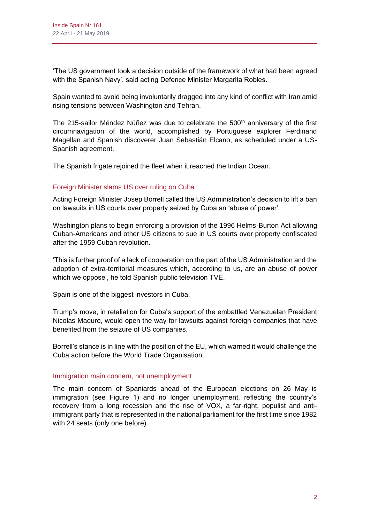'The US government took a decision outside of the framework of what had been agreed with the Spanish Navy', said acting Defence Minister Margarita Robles.

Spain wanted to avoid being involuntarily dragged into any kind of conflict with Iran amid rising tensions between Washington and Tehran.

The 215-sailor Méndez Núñez was due to celebrate the  $500<sup>th</sup>$  anniversary of the first circumnavigation of the world, accomplished by Portuguese explorer Ferdinand Magellan and Spanish discoverer Juan Sebastián Elcano, as scheduled under a US-Spanish agreement.

The Spanish frigate rejoined the fleet when it reached the Indian Ocean.

# Foreign Minister slams US over ruling on Cuba

Acting Foreign Minister Josep Borrell called the US Administration's decision to lift a ban on lawsuits in US courts over property seized by Cuba an 'abuse of power'.

Washington plans to begin enforcing a provision of the 1996 Helms-Burton Act allowing Cuban-Americans and other US citizens to sue in US courts over property confiscated after the 1959 Cuban revolution.

'This is further proof of a lack of cooperation on the part of the US Administration and the adoption of extra-territorial measures which, according to us, are an abuse of power which we oppose', he told Spanish public television TVE.

Spain is one of the biggest investors in Cuba.

Trump's move, in retaliation for Cuba's support of the embattled Venezuelan President Nicolas Maduro, would open the way for lawsuits against foreign companies that have benefited from the seizure of US companies.

Borrell's stance is in line with the position of the EU, which warned it would challenge the Cuba action before the World Trade Organisation.

# Immigration main concern, not unemployment

The main concern of Spaniards ahead of the European elections on 26 May is immigration (see Figure 1) and no longer unemployment, reflecting the country's recovery from a long recession and the rise of VOX, a far-right, populist and antiimmigrant party that is represented in the national parliament for the first time since 1982 with 24 seats (only one before).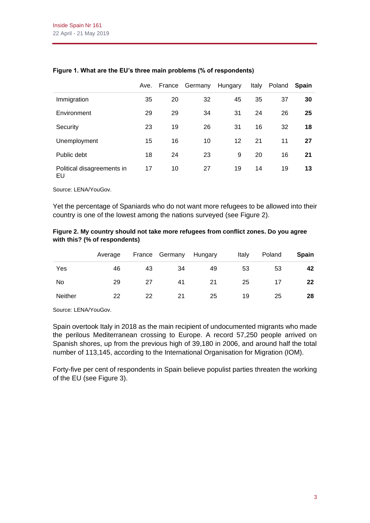|                                  | Ave. | France | Germany | Hungary | Italy | Poland Spain |    |
|----------------------------------|------|--------|---------|---------|-------|--------------|----|
| Immigration                      | 35   | 20     | 32      | 45      | 35    | 37           | 30 |
| Environment                      | 29   | 29     | 34      | 31      | 24    | 26           | 25 |
| Security                         | 23   | 19     | 26      | 31      | 16    | 32           | 18 |
| Unemployment                     | 15   | 16     | 10      | 12      | 21    | 11           | 27 |
| Public debt                      | 18   | 24     | 23      | 9       | 20    | 16           | 21 |
| Political disagreements in<br>EU | 17   | 10     | 27      | 19      | 14    | 19           | 13 |

### **Figure 1. What are the EU's three main problems (% of respondents)**

Source: LENA/YouGov.

Yet the percentage of Spaniards who do not want more refugees to be allowed into their country is one of the lowest among the nations surveyed (see Figure 2).

#### **Figure 2. My country should not take more refugees from conflict zones. Do you agree with this? (% of respondents)**

|                | Average |    | France Germany | Hungary | Italy | Poland | <b>Spain</b> |
|----------------|---------|----|----------------|---------|-------|--------|--------------|
| Yes            | 46      | 43 | 34             | 49      | 53    | 53     | 42           |
| No             | 29      | 27 | 41             | 21      | 25    | 17     | 22           |
| <b>Neither</b> | 22      | 22 | 21             | 25      | 19    | 25     | 28           |

Source: LENA/YouGov.

Spain overtook Italy in 2018 as the main recipient of undocumented migrants who made the perilous Mediterranean crossing to Europe. A record 57,250 people arrived on Spanish shores, up from the previous high of 39,180 in 2006, and around half the total number of 113,145, according to the International Organisation for Migration (IOM).

Forty-five per cent of respondents in Spain believe populist parties threaten the working of the EU (see Figure 3).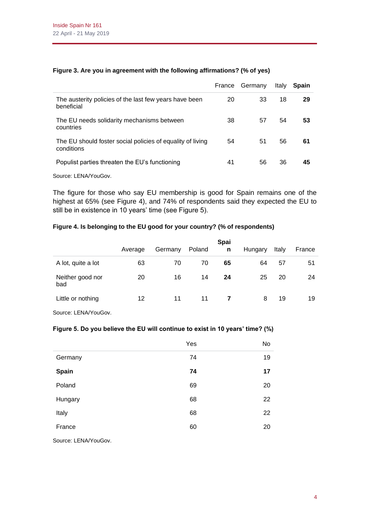|                                                                          | France | Germany | Italy | <b>Spain</b> |
|--------------------------------------------------------------------------|--------|---------|-------|--------------|
| The austerity policies of the last few years have been<br>beneficial     | 20     | 33      | 18    | 29           |
| The EU needs solidarity mechanisms between<br>countries                  | 38     | 57      | 54    | 53           |
| The EU should foster social policies of equality of living<br>conditions | 54     | 51      | 56    | 61           |
| Populist parties threaten the EU's functioning                           | 41     | 56      | 36    | 45           |

### **Figure 3. Are you in agreement with the following affirmations? (% of yes)**

Source: LENA/YouGov.

The figure for those who say EU membership is good for Spain remains one of the highest at 65% (see Figure 4), and 74% of respondents said they expected the EU to still be in existence in 10 years' time (see Figure 5).

# **Figure 4. Is belonging to the EU good for your country? (% of respondents)**

|                         | Average | Germany | Poland | <b>Spai</b><br>n | Hungary | Italy | France |
|-------------------------|---------|---------|--------|------------------|---------|-------|--------|
| A lot, quite a lot      | 63      | 70      | 70     | 65               | 64      | 57    | 51     |
| Neither good nor<br>bad | 20      | 16      | 14     | 24               | 25      | 20    | 24     |
| Little or nothing       | 12      | 11      | 11     |                  | 8       | 19    | 19     |

Source: LENA/YouGov.

#### **Figure 5. Do you believe the EU will continue to exist in 10 years' time? (%)**

|         | Yes | No |
|---------|-----|----|
| Germany | 74  | 19 |
| Spain   | 74  | 17 |
| Poland  | 69  | 20 |
| Hungary | 68  | 22 |
| Italy   | 68  | 22 |
| France  | 60  | 20 |
|         |     |    |

Source: LENA/YouGov.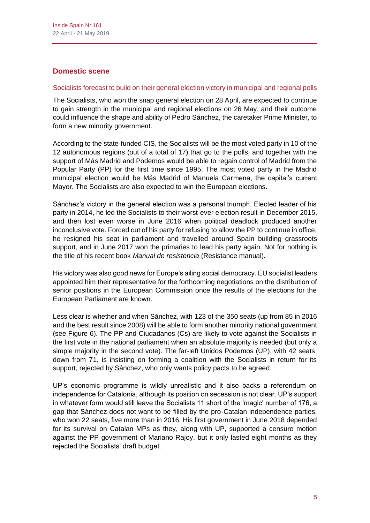# **Domestic scene**

#### Socialists forecast to build on their general election victory in municipal and regional polls

The Socialists, who won the snap general election on 28 April, are expected to continue to gain strength in the municipal and regional elections on 26 May, and their outcome could influence the shape and ability of Pedro Sánchez, the caretaker Prime Minister, to form a new minority government.

According to the state-funded CIS, the Socialists will be the most voted party in 10 of the 12 autonomous regions (out of a total of 17) that go to the polls, and together with the support of Más Madrid and Podemos would be able to regain control of Madrid from the Popular Party (PP) for the first time since 1995. The most voted party in the Madrid municipal election would be Más Madrid of Manuela Carmena, the capital's current Mayor. The Socialists are also expected to win the European elections.

Sánchez's victory in the general election was a personal triumph. Elected leader of his party in 2014, he led the Socialists to their worst-ever election result in December 2015, and then lost even worse in June 2016 when political deadlock produced another inconclusive vote. Forced out of his party for refusing to allow the PP to continue in office, he resigned his seat in parliament and travelled around Spain building grassroots support, and in June 2017 won the primaries to lead his party again. Not for nothing is the title of his recent book *Manual de resistencia* (Resistance manual).

His victory was also good news for Europe's ailing social democracy. EU socialist leaders appointed him their representative for the forthcoming negotiations on the distribution of senior positions in the European Commission once the results of the elections for the European Parliament are known.

Less clear is whether and when Sánchez, with 123 of the 350 seats (up from 85 in 2016 and the best result since 2008) will be able to form another minority national government (see Figure 6). The PP and Ciudadanos (Cs) are likely to vote against the Socialists in the first vote in the national parliament when an absolute majority is needed (but only a simple majority in the second vote). The far-left Unidos Podemos (UP), with 42 seats, down from 71, is insisting on forming a coalition with the Socialists in return for its support, rejected by Sánchez, who only wants policy pacts to be agreed.

UP's economic programme is wildly unrealistic and it also backs a referendum on independence for Catalonia, although its position on secession is not clear. UP's support in whatever form would still leave the Socialists 11 short of the 'magic' number of 176, a gap that Sánchez does not want to be filled by the pro-Catalan independence parties, who won 22 seats, five more than in 2016. His first government in June 2018 depended for its survival on Catalan MPs as they, along with UP, supported a censure motion against the PP government of Mariano Rajoy, but it only lasted eight months as they rejected the Socialists' draft budget.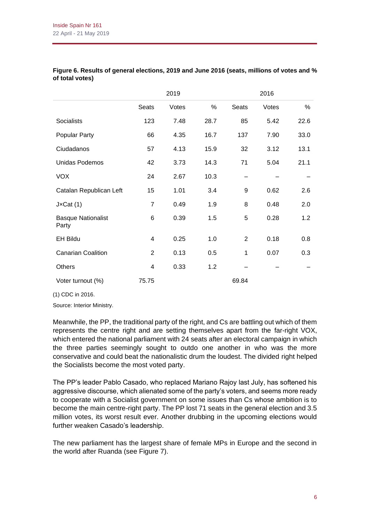|                                    |                | 2019  |      |                | 2016  |      |
|------------------------------------|----------------|-------|------|----------------|-------|------|
|                                    | <b>Seats</b>   | Votes | %    | <b>Seats</b>   | Votes | %    |
| <b>Socialists</b>                  | 123            | 7.48  | 28.7 | 85             | 5.42  | 22.6 |
| <b>Popular Party</b>               | 66             | 4.35  | 16.7 | 137            | 7.90  | 33.0 |
| Ciudadanos                         | 57             | 4.13  | 15.9 | 32             | 3.12  | 13.1 |
| Unidas Podemos                     | 42             | 3.73  | 14.3 | 71             | 5.04  | 21.1 |
| <b>VOX</b>                         | 24             | 2.67  | 10.3 |                |       |      |
| Catalan Republican Left            | 15             | 1.01  | 3.4  | 9              | 0.62  | 2.6  |
| $J \times Cat(1)$                  | $\overline{7}$ | 0.49  | 1.9  | 8              | 0.48  | 2.0  |
| <b>Basque Nationalist</b><br>Party | 6              | 0.39  | 1.5  | 5              | 0.28  | 1.2  |
| <b>EH Bildu</b>                    | 4              | 0.25  | 1.0  | $\overline{2}$ | 0.18  | 0.8  |
| <b>Canarian Coalition</b>          | 2              | 0.13  | 0.5  | 1              | 0.07  | 0.3  |
| <b>Others</b>                      | 4              | 0.33  | 1.2  |                |       |      |
| Voter turnout (%)                  | 75.75          |       |      | 69.84          |       |      |

### **Figure 6. Results of general elections, 2019 and June 2016 (seats, millions of votes and % of total votes)**

(1) CDC in 2016.

Source: Interior Ministry.

Meanwhile, the PP, the traditional party of the right, and Cs are battling out which of them represents the centre right and are setting themselves apart from the far-right VOX, which entered the national parliament with 24 seats after an electoral campaign in which the three parties seemingly sought to outdo one another in who was the more conservative and could beat the nationalistic drum the loudest. The divided right helped the Socialists become the most voted party.

The PP's leader Pablo Casado, who replaced Mariano Rajoy last July, has softened his aggressive discourse, which alienated some of the party's voters, and seems more ready to cooperate with a Socialist government on some issues than Cs whose ambition is to become the main centre-right party. The PP lost 71 seats in the general election and 3.5 million votes, its worst result ever. Another drubbing in the upcoming elections would further weaken Casado's leadership.

The new parliament has the largest share of female MPs in Europe and the second in the world after Ruanda (see Figure 7).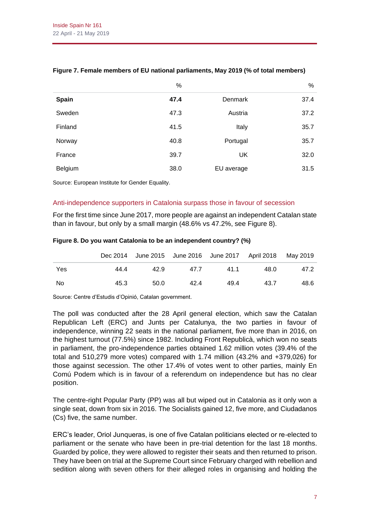|              | %    |                | %    |
|--------------|------|----------------|------|
| <b>Spain</b> | 47.4 | <b>Denmark</b> | 37.4 |
| Sweden       | 47.3 | Austria        | 37.2 |
| Finland      | 41.5 | Italy          | 35.7 |
| Norway       | 40.8 | Portugal       | 35.7 |
| France       | 39.7 | UK             | 32.0 |
| Belgium      | 38.0 | EU average     | 31.5 |

# **Figure 7. Female members of EU national parliaments, May 2019 (% of total members)**

Source: European Institute for Gender Equality.

# Anti-independence supporters in Catalonia surpass those in favour of secession

For the first time since June 2017, more people are against an independent Catalan state than in favour, but only by a small margin (48.6% vs 47.2%, see Figure 8).

|     |      |      |      | Dec 2014 June 2015 June 2016 June 2017 April 2018 May 2019 |      |      |
|-----|------|------|------|------------------------------------------------------------|------|------|
| Yes | 44.4 | 42.9 | 47.7 | 41.1                                                       | 48.0 | 47.2 |
| No  | 45.3 | 50.0 | 42.4 | 49.4                                                       | 43.7 | 48.6 |

#### **Figure 8. Do you want Catalonia to be an independent country? (%)**

Source: Centre d'Estudis d'Opinió, Catalan government.

The poll was conducted after the 28 April general election, which saw the Catalan Republican Left (ERC) and Junts per Catalunya, the two parties in favour of independence, winning 22 seats in the national parliament, five more than in 2016, on the highest turnout (77.5%) since 1982. Including Front Republicà, which won no seats in parliament, the pro-independence parties obtained 1.62 million votes (39.4% of the total and 510,279 more votes) compared with 1.74 million (43.2% and +379,026) for those against secession. The other 17.4% of votes went to other parties, mainly En Comú Podem which is in favour of a referendum on independence but has no clear position.

The centre-right Popular Party (PP) was all but wiped out in Catalonia as it only won a single seat, down from six in 2016. The Socialists gained 12, five more, and Ciudadanos (Cs) five, the same number.

ERC's leader, Oriol Junqueras, is one of five Catalan politicians elected or re-elected to parliament or the senate who have been in pre-trial detention for the last 18 months. Guarded by police, they were allowed to register their seats and then returned to prison. They have been on trial at the Supreme Court since February charged with rebellion and sedition along with seven others for their alleged roles in organising and holding the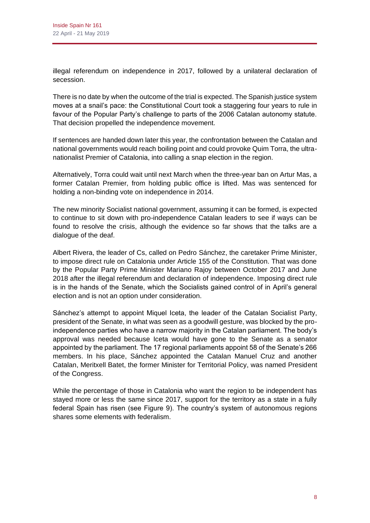illegal referendum on independence in 2017, followed by a unilateral declaration of secession.

There is no date by when the outcome of the trial is expected. The Spanish justice system moves at a snail's pace: the Constitutional Court took a staggering four years to rule in favour of the Popular Party's challenge to parts of the 2006 Catalan autonomy statute. That decision propelled the independence movement.

If sentences are handed down later this year, the confrontation between the Catalan and national governments would reach boiling point and could provoke Quim Torra, the ultranationalist Premier of Catalonia, into calling a snap election in the region.

Alternatively, Torra could wait until next March when the three-year ban on Artur Mas, a former Catalan Premier, from holding public office is lifted. Mas was sentenced for holding a non-binding vote on independence in 2014.

The new minority Socialist national government, assuming it can be formed, is expected to continue to sit down with pro-independence Catalan leaders to see if ways can be found to resolve the crisis, although the evidence so far shows that the talks are a dialogue of the deaf.

Albert Rivera, the leader of Cs, called on Pedro Sánchez, the caretaker Prime Minister, to impose direct rule on Catalonia under Article 155 of the Constitution. That was done by the Popular Party Prime Minister Mariano Rajoy between October 2017 and June 2018 after the illegal referendum and declaration of independence. Imposing direct rule is in the hands of the Senate, which the Socialists gained control of in April's general election and is not an option under consideration.

Sánchez's attempt to appoint Miquel Iceta, the leader of the Catalan Socialist Party, president of the Senate, in what was seen as a goodwill gesture, was blocked by the proindependence parties who have a narrow majority in the Catalan parliament. The body's approval was needed because Iceta would have gone to the Senate as a senator appointed by the parliament. The 17 regional parliaments appoint 58 of the Senate's 266 members. In his place, Sánchez appointed the Catalan Manuel Cruz and another Catalan, Meritxell Batet, the former Minister for Territorial Policy, was named President of the Congress.

While the percentage of those in Catalonia who want the region to be independent has stayed more or less the same since 2017, support for the territory as a state in a fully federal Spain has risen (see Figure 9). The country's system of autonomous regions shares some elements with federalism.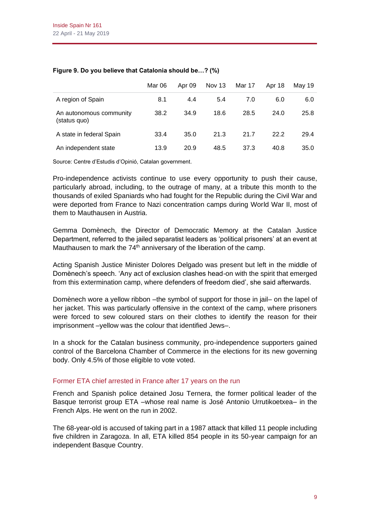|                                         | Mar 06 | Apr 09 | Nov 13 | Mar 17 | Apr 18 | Mav 19 |
|-----------------------------------------|--------|--------|--------|--------|--------|--------|
| A region of Spain                       | 8.1    | 4.4    | 5.4    | 7.0    | 6.0    | 6.0    |
| An autonomous community<br>(status quo) | 38.2   | 34.9   | 18.6   | 28.5   | 24.0   | 25.8   |
| A state in federal Spain                | 33.4   | 35.0   | 21.3   | 21.7   | 22.2   | 29.4   |
| An independent state                    | 13.9   | 20.9   | 48.5   | 37.3   | 40.8   | 35.0   |

#### **Figure 9. Do you believe that Catalonia should be…? (%)**

Source: Centre d'Estudis d'Opinió, Catalan government.

Pro-independence activists continue to use every opportunity to push their cause, particularly abroad, including, to the outrage of many, at a tribute this month to the thousands of exiled Spaniards who had fought for the Republic during the Civil War and were deported from France to Nazi concentration camps during World War II, most of them to Mauthausen in Austria.

Gemma Domènech, the Director of Democratic Memory at the Catalan Justice Department, referred to the jailed separatist leaders as 'political prisoners' at an event at Mauthausen to mark the  $74<sup>th</sup>$  anniversary of the liberation of the camp.

Acting Spanish Justice Minister Dolores Delgado was present but left in the middle of Domènech's speech. 'Any act of exclusion clashes head-on with the spirit that emerged from this extermination camp, where defenders of freedom died', she said afterwards.

Domènech wore a yellow ribbon –the symbol of support for those in jail– on the lapel of her jacket. This was particularly offensive in the context of the camp, where prisoners were forced to sew coloured stars on their clothes to identify the reason for their imprisonment –yellow was the colour that identified Jews–.

In a shock for the Catalan business community, pro-independence supporters gained control of the Barcelona Chamber of Commerce in the elections for its new governing body. Only 4.5% of those eligible to vote voted.

# Former ETA chief arrested in France after 17 years on the run

French and Spanish police detained Josu Ternera, the former political leader of the Basque terrorist group ETA –whose real name is José Antonio Urrutikoetxea– in the French Alps. He went on the run in 2002.

The 68-year-old is accused of taking part in a 1987 attack that killed 11 people including five children in Zaragoza. In all, ETA killed 854 people in its 50-year campaign for an independent Basque Country.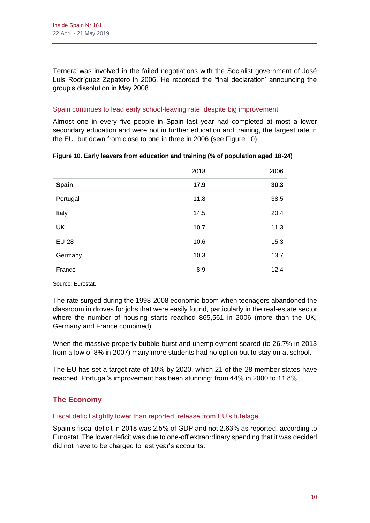Ternera was involved in the failed negotiations with the Socialist government of José Luis Rodríguez Zapatero in 2006. He recorded the 'final declaration' announcing the group's dissolution in May 2008.

# Spain continues to lead early school-leaving rate, despite big improvement

Almost one in every five people in Spain last year had completed at most a lower secondary education and were not in further education and training, the largest rate in the EU, but down from close to one in three in 2006 (see Figure 10).

|              | 2018 | 2006 |
|--------------|------|------|
| Spain        | 17.9 | 30.3 |
| Portugal     | 11.8 | 38.5 |
| Italy        | 14.5 | 20.4 |
| UK           | 10.7 | 11.3 |
| <b>EU-28</b> | 10.6 | 15.3 |
| Germany      | 10.3 | 13.7 |
| France       | 8.9  | 12.4 |

|  |  | Figure 10. Early leavers from education and training (% of population aged 18-24) |  |  |
|--|--|-----------------------------------------------------------------------------------|--|--|
|--|--|-----------------------------------------------------------------------------------|--|--|

Source: Eurostat.

The rate surged during the 1998-2008 economic boom when teenagers abandoned the classroom in droves for jobs that were easily found, particularly in the real-estate sector where the number of housing starts reached 865,561 in 2006 (more than the UK, Germany and France combined).

When the massive property bubble burst and unemployment soared (to 26.7% in 2013 from a low of 8% in 2007) many more students had no option but to stay on at school.

The EU has set a target rate of 10% by 2020, which 21 of the 28 member states have reached. Portugal's improvement has been stunning: from 44% in 2000 to 11.8%.

# **The Economy**

# Fiscal deficit slightly lower than reported, release from EU's tutelage

Spain's fiscal deficit in 2018 was 2.5% of GDP and not 2.63% as reported, according to Eurostat. The lower deficit was due to one-off extraordinary spending that it was decided did not have to be charged to last year's accounts.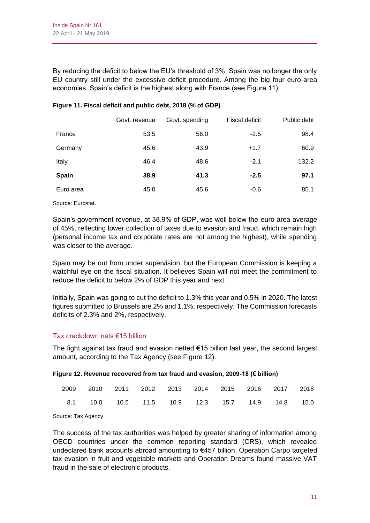By reducing the deficit to below the EU's threshold of 3%, Spain was no longer the only EU country still under the excessive deficit procedure. Among the big four euro-area economies, Spain's deficit is the highest along with France (see Figure 11).

|           | Govt. revenue | Govt. spending | Fiscal deficit | Public debt |
|-----------|---------------|----------------|----------------|-------------|
| France    | 53.5          | 56.0           | $-2.5$         | 98.4        |
| Germany   | 45.6          | 43.9           | $+1.7$         | 60.9        |
| Italy     | 46.4          | 48.6           | $-2.1$         | 132.2       |
| Spain     | 38.9          | 41.3           | $-2.5$         | 97.1        |
| Euro area | 45.0          | 45.6           | $-0.6$         | 85.1        |

### **Figure 11. Fiscal deficit and public debt, 2018 (% of GDP)**

Source: Eurostat.

Spain's government revenue, at 38.9% of GDP, was well below the euro-area average of 45%, reflecting lower collection of taxes due to evasion and fraud, which remain high (personal income tax and corporate rates are not among the highest), while spending was closer to the average.

Spain may be out from under supervision, but the European Commission is keeping a watchful eye on the fiscal situation. It believes Spain will not meet the commitment to reduce the deficit to below 2% of GDP this year and next.

Initially, Spain was going to cut the deficit to 1.3% this year and 0.5% in 2020. The latest figures submitted to Brussels are 2% and 1.1%, respectively. The Commission forecasts deficits of 2.3% and 2%, respectively.

# Tax crackdown nets €15 billion

The fight against tax fraud and evasion netted €15 billion last year, the second largest amount, according to the Tax Agency (see Figure 12).

| Figure 12. Revenue recovered from tax fraud and evasion, 2009-18 (€ billion) |  |
|------------------------------------------------------------------------------|--|
|------------------------------------------------------------------------------|--|

| 2009 2010 2011 2012 2013 2014 2015 2016 2017 2018         |  |  |  |  |
|-----------------------------------------------------------|--|--|--|--|
| 8.1  10.0  10.5  11.5  10.9  12.3  15.7  14.9  14.8  15.0 |  |  |  |  |

Source: Tax Agency.

The success of the tax authorities was helped by greater sharing of information among OECD countries under the common reporting standard (CRS), which revealed undeclared bank accounts abroad amounting to €457 billion. Operation Carpo targeted tax evasion in fruit and vegetable markets and Operation Dreams found massive VAT fraud in the sale of electronic products.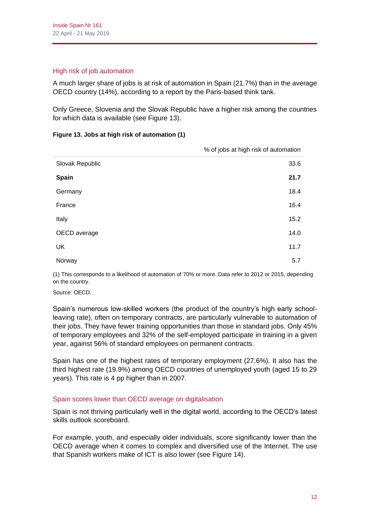# High risk of job automation

A much larger share of jobs is at risk of automation in Spain (21.7%) than in the average OECD country (14%), according to a report by the Paris-based think tank.

Only Greece, Slovenia and the Slovak Republic have a higher risk among the countries for which data is available (see Figure 13).

#### **Figure 13. Jobs at high risk of automation (1)**

|                 | % of jobs at high risk of automation |
|-----------------|--------------------------------------|
| Slovak Republic | 33.6                                 |
| <b>Spain</b>    | 21.7                                 |
| Germany         | 18.4                                 |
| France          | 16.4                                 |
| Italy           | 15.2                                 |
| OECD average    | 14.0                                 |
| <b>UK</b>       | 11.7                                 |
| Norway          | 5.7                                  |

(1) This corresponds to a likelihood of automation of 70% or more. Data refer to 2012 or 2015, depending on the country.

Source: OECD.

Spain's numerous low-skilled workers (the product of the country's high early schoolleaving rate), often on temporary contracts, are particularly vulnerable to automation of their jobs. They have fewer training opportunities than those in standard jobs. Only 45% of temporary employees and 32% of the self-employed participate in training in a given year, against 56% of standard employees on permanent contracts.

Spain has one of the highest rates of temporary employment (27.6%). It also has the third highest rate (19.9%) among OECD countries of unemployed youth (aged 15 to 29 years). This rate is 4 pp higher than in 2007.

# Spain scores lower than OECD average on digitalisation

Spain is not thriving particularly well in the digital world, according to the OECD's latest skills outlook scoreboard.

For example, youth, and especially older individuals, score significantly lower than the OECD average when it comes to complex and diversified use of the Internet. The use that Spanish workers make of ICT is also lower (see Figure 14).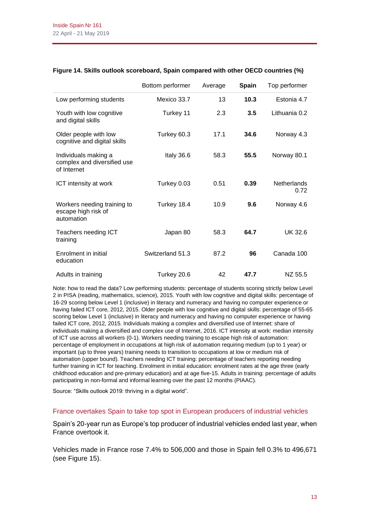|                                                                    | Bottom performer | Average | <b>Spain</b> | Top performer              |
|--------------------------------------------------------------------|------------------|---------|--------------|----------------------------|
| Low performing students                                            | Mexico 33.7      | 13      | 10.3         | Estonia 4.7                |
| Youth with low cognitive<br>and digital skills                     | Turkey 11        | 2.3     | 3.5          | Lithuania 0.2              |
| Older people with low<br>cognitive and digital skills              | Turkey 60.3      | 17.1    | 34.6         | Norway 4.3                 |
| Individuals making a<br>complex and diversified use<br>of Internet | Italy 36.6       | 58.3    | 55.5         | Norway 80.1                |
| ICT intensity at work                                              | Turkey 0.03      | 0.51    | 0.39         | <b>Netherlands</b><br>0.72 |
| Workers needing training to<br>escape high risk of<br>automation   | Turkey 18.4      | 10.9    | 9.6          | Norway 4.6                 |
| Teachers needing ICT<br>training                                   | Japan 80         | 58.3    | 64.7         | UK 32.6                    |
| Enrolment in initial<br>education                                  | Switzerland 51.3 | 87.2    | 96           | Canada 100                 |
| Adults in training                                                 | Turkey 20.6      | 42      | 47.7         | NZ 55.5                    |

#### **Figure 14. Skills outlook scoreboard, Spain compared with other OECD countries (%)**

Note: how to read the data? Low performing students: percentage of students scoring strictly below Level 2 in PISA (reading, mathematics, science), 2015. Youth with low cognitive and digital skills: percentage of 16-29 scoring below Level 1 (inclusive) in literacy and numeracy and having no computer experience or having failed ICT core, 2012, 2015. Older people with low cognitive and digital skills: percentage of 55-65 scoring below Level 1 (inclusive) in literacy and numeracy and having no computer experience or having failed ICT core, 2012, 2015. Individuals making a complex and diversified use of Internet: share of individuals making a diversified and complex use of Internet, 2016. ICT intensity at work: median intensity of ICT use across all workers (0-1). Workers needing training to escape high risk of automation: percentage of employment in occupations at high risk of automation requiring medium (up to 1 year) or important (up to three years) training needs to transition to occupations at low or medium risk of automation (upper bound). Teachers needing ICT training: percentage of teachers reporting needing further training in ICT for teaching. Enrolment in initial education: enrolment rates at the age three (early childhood education and pre-primary education) and at age five-15. Adults in training: percentage of adults participating in non-formal and informal learning over the past 12 months (PIAAC).

Source: "Skills outlook 2019: thriving in a digital world".

#### France overtakes Spain to take top spot in European producers of industrial vehicles

Spain's 20-year run as Europe's top producer of industrial vehicles ended last year, when France overtook it.

Vehicles made in France rose 7.4% to 506,000 and those in Spain fell 0.3% to 496,671 (see Figure 15).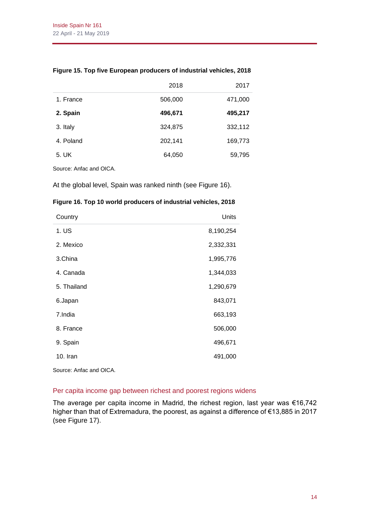|           | 2018    | 2017    |
|-----------|---------|---------|
| 1. France | 506,000 | 471,000 |
| 2. Spain  | 496,671 | 495,217 |
| 3. Italy  | 324,875 | 332,112 |
| 4. Poland | 202,141 | 169,773 |
| 5. UK     | 64,050  | 59,795  |

# **Figure 15. Top five European producers of industrial vehicles, 2018**

Source: Anfac and OICA.

At the global level, Spain was ranked ninth (see Figure 16).

# **Figure 16. Top 10 world producers of industrial vehicles, 2018**

| Country     | Units     |
|-------------|-----------|
| 1. US       | 8,190,254 |
| 2. Mexico   | 2,332,331 |
| 3.China     | 1,995,776 |
| 4. Canada   | 1,344,033 |
| 5. Thailand | 1,290,679 |
| 6.Japan     | 843,071   |
| 7.India     | 663,193   |
| 8. France   | 506,000   |
| 9. Spain    | 496,671   |
| 10. Iran    | 491,000   |

Source: Anfac and OICA.

### Per capita income gap between richest and poorest regions widens

The average per capita income in Madrid, the richest region, last year was €16,742 higher than that of Extremadura, the poorest, as against a difference of €13,885 in 2017 (see Figure 17).